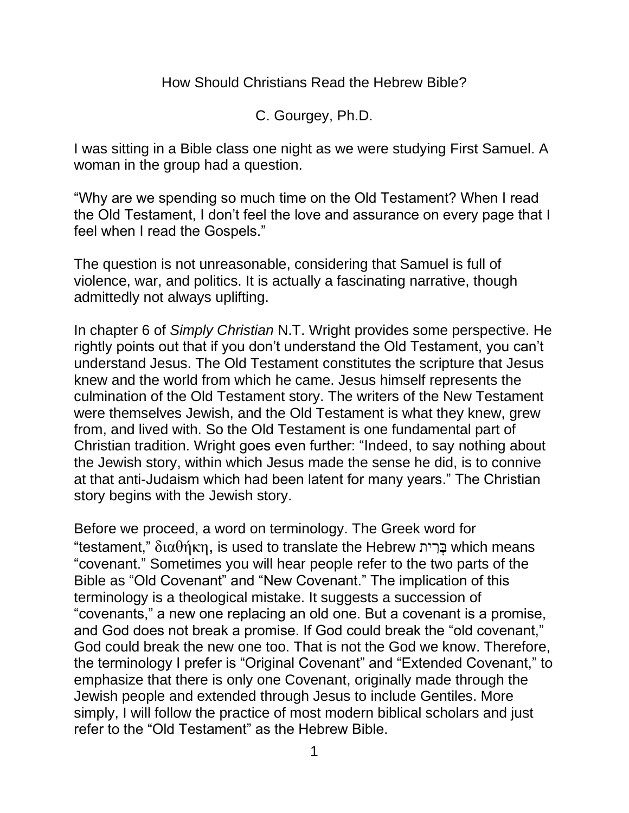How Should Christians Read the Hebrew Bible?

C. Gourgey, Ph.D.

I was sitting in a Bible class one night as we were studying First Samuel. A woman in the group had a question.

"Why are we spending so much time on the Old Testament? When I read the Old Testament, I don't feel the love and assurance on every page that I feel when I read the Gospels."

The question is not unreasonable, considering that Samuel is full of violence, war, and politics. It is actually a fascinating narrative, though admittedly not always uplifting.

In chapter 6 of *Simply Christian* N.T. Wright provides some perspective. He rightly points out that if you don't understand the Old Testament, you can't understand Jesus. The Old Testament constitutes the scripture that Jesus knew and the world from which he came. Jesus himself represents the culmination of the Old Testament story. The writers of the New Testament were themselves Jewish, and the Old Testament is what they knew, grew from, and lived with. So the Old Testament is one fundamental part of Christian tradition. Wright goes even further: "Indeed, to say nothing about the Jewish story, within which Jesus made the sense he did, is to connive at that anti-Judaism which had been latent for many years." The Christian story begins with the Jewish story.

Before we proceed, a word on terminology. The Greek word for "testament," διαθήκη, is used to translate the Hebrew בָּרִית which means "covenant." Sometimes you will hear people refer to the two parts of the Bible as "Old Covenant" and "New Covenant." The implication of this terminology is a theological mistake. It suggests a succession of "covenants," a new one replacing an old one. But a covenant is a promise, and God does not break a promise. If God could break the "old covenant," God could break the new one too. That is not the God we know. Therefore, the terminology I prefer is "Original Covenant" and "Extended Covenant," to emphasize that there is only one Covenant, originally made through the Jewish people and extended through Jesus to include Gentiles. More simply, I will follow the practice of most modern biblical scholars and just refer to the "Old Testament" as the Hebrew Bible.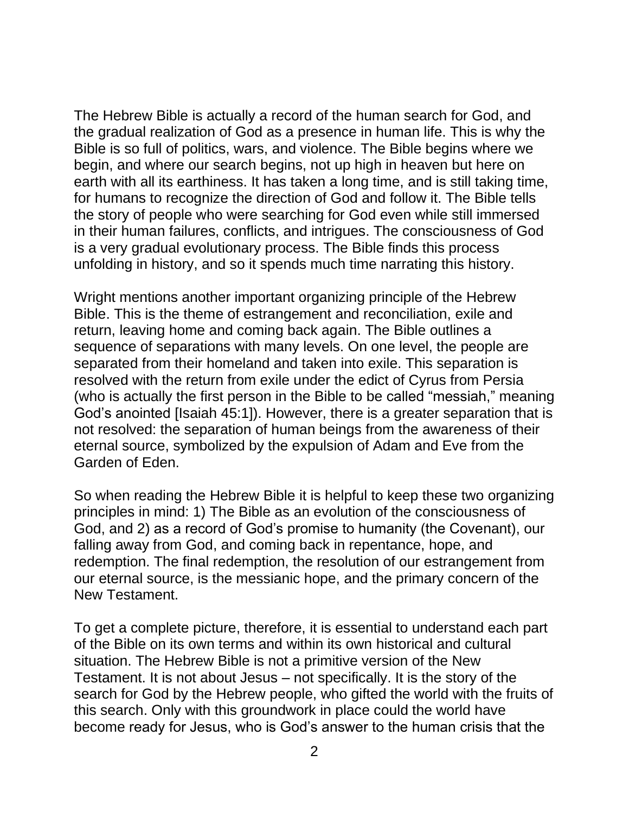The Hebrew Bible is actually a record of the human search for God, and the gradual realization of God as a presence in human life. This is why the Bible is so full of politics, wars, and violence. The Bible begins where we begin, and where our search begins, not up high in heaven but here on earth with all its earthiness. It has taken a long time, and is still taking time, for humans to recognize the direction of God and follow it. The Bible tells the story of people who were searching for God even while still immersed in their human failures, conflicts, and intrigues. The consciousness of God is a very gradual evolutionary process. The Bible finds this process unfolding in history, and so it spends much time narrating this history.

Wright mentions another important organizing principle of the Hebrew Bible. This is the theme of estrangement and reconciliation, exile and return, leaving home and coming back again. The Bible outlines a sequence of separations with many levels. On one level, the people are separated from their homeland and taken into exile. This separation is resolved with the return from exile under the edict of Cyrus from Persia (who is actually the first person in the Bible to be called "messiah," meaning God's anointed [Isaiah 45:1]). However, there is a greater separation that is not resolved: the separation of human beings from the awareness of their eternal source, symbolized by the expulsion of Adam and Eve from the Garden of Eden.

So when reading the Hebrew Bible it is helpful to keep these two organizing principles in mind: 1) The Bible as an evolution of the consciousness of God, and 2) as a record of God's promise to humanity (the Covenant), our falling away from God, and coming back in repentance, hope, and redemption. The final redemption, the resolution of our estrangement from our eternal source, is the messianic hope, and the primary concern of the New Testament.

To get a complete picture, therefore, it is essential to understand each part of the Bible on its own terms and within its own historical and cultural situation. The Hebrew Bible is not a primitive version of the New Testament. It is not about Jesus – not specifically. It is the story of the search for God by the Hebrew people, who gifted the world with the fruits of this search. Only with this groundwork in place could the world have become ready for Jesus, who is God's answer to the human crisis that the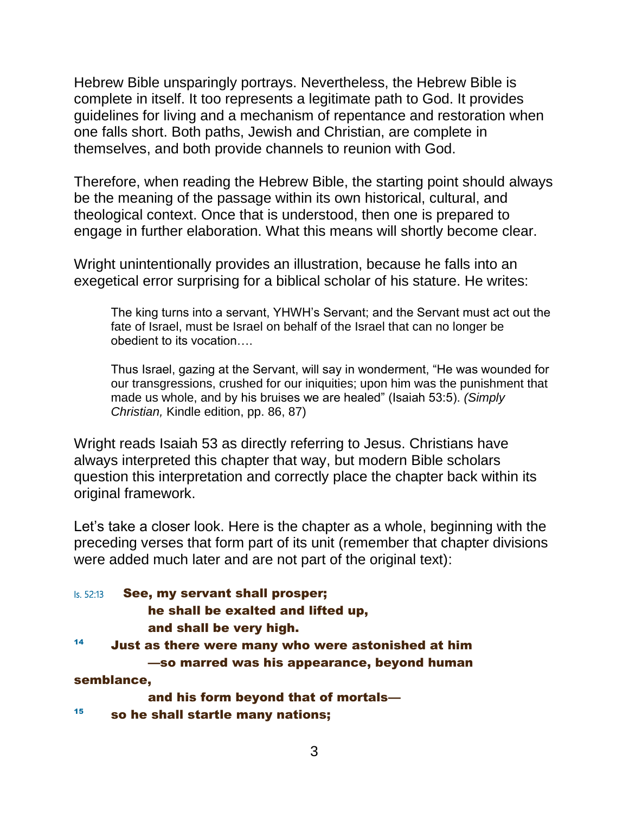Hebrew Bible unsparingly portrays. Nevertheless, the Hebrew Bible is complete in itself. It too represents a legitimate path to God. It provides guidelines for living and a mechanism of repentance and restoration when one falls short. Both paths, Jewish and Christian, are complete in themselves, and both provide channels to reunion with God.

Therefore, when reading the Hebrew Bible, the starting point should always be the meaning of the passage within its own historical, cultural, and theological context. Once that is understood, then one is prepared to engage in further elaboration. What this means will shortly become clear.

Wright unintentionally provides an illustration, because he falls into an exegetical error surprising for a biblical scholar of his stature. He writes:

The king turns into a servant, YHWH's Servant; and the Servant must act out the fate of Israel, must be Israel on behalf of the Israel that can no longer be obedient to its vocation….

Thus Israel, gazing at the Servant, will say in wonderment, "He was wounded for our transgressions, crushed for our iniquities; upon him was the punishment that made us whole, and by his bruises we are healed" (Isaiah 53:5). *(Simply Christian,* Kindle edition, pp. 86, 87)

Wright reads Isaiah 53 as directly referring to Jesus. Christians have always interpreted this chapter that way, but modern Bible scholars question this interpretation and correctly place the chapter back within its original framework.

Let's take a closer look. Here is the chapter as a whole, beginning with the preceding verses that form part of its unit (remember that chapter divisions were added much later and are not part of the original text):

Is. 52:13 **See, my servant shall prosper;** he shall be exalted and lifted up, and shall be very high. <sup>14</sup> Just as there were many who were astonished at him —so marred was his appearance, beyond human semblance, and his form beyond that of mortals— <sup>15</sup> so he shall startle many nations;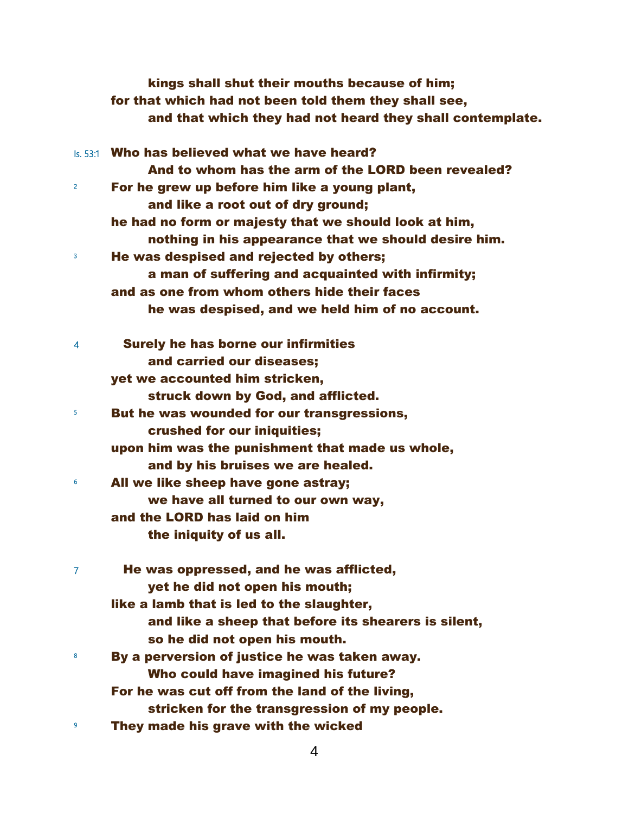|   | kings shall shut their mouths because of him;<br>for that which had not been told them they shall see,<br>and that which they had not heard they shall contemplate. |
|---|---------------------------------------------------------------------------------------------------------------------------------------------------------------------|
|   | Is, 53:1 Who has believed what we have heard?                                                                                                                       |
|   | And to whom has the arm of the LORD been revealed?                                                                                                                  |
| 2 | For he grew up before him like a young plant,                                                                                                                       |
|   | and like a root out of dry ground;                                                                                                                                  |
|   | he had no form or majesty that we should look at him,                                                                                                               |
|   | nothing in his appearance that we should desire him.                                                                                                                |
| 3 | He was despised and rejected by others;                                                                                                                             |
|   | a man of suffering and acquainted with infirmity;                                                                                                                   |
|   | and as one from whom others hide their faces                                                                                                                        |
|   | he was despised, and we held him of no account.                                                                                                                     |
| 4 | <b>Surely he has borne our infirmities</b>                                                                                                                          |
|   | and carried our diseases;                                                                                                                                           |
|   | yet we accounted him stricken,                                                                                                                                      |
|   | struck down by God, and afflicted.                                                                                                                                  |
| 5 | But he was wounded for our transgressions,                                                                                                                          |
|   | crushed for our iniquities;                                                                                                                                         |
|   | upon him was the punishment that made us whole,                                                                                                                     |
|   | and by his bruises we are healed.                                                                                                                                   |
| 6 | All we like sheep have gone astray;                                                                                                                                 |
|   | we have all turned to our own way,                                                                                                                                  |
|   | and the LORD has laid on him                                                                                                                                        |
|   | the iniquity of us all.                                                                                                                                             |
| 7 | He was oppressed, and he was afflicted,                                                                                                                             |
|   | yet he did not open his mouth;                                                                                                                                      |
|   | like a lamb that is led to the slaughter,                                                                                                                           |
|   | and like a sheep that before its shearers is silent,                                                                                                                |
|   | so he did not open his mouth.                                                                                                                                       |
| 8 | By a perversion of justice he was taken away.                                                                                                                       |
|   | Who could have imagined his future?                                                                                                                                 |
|   | For he was cut off from the land of the living,                                                                                                                     |
|   | stricken for the transgression of my people.                                                                                                                        |
| 9 | They made his grave with the wicked                                                                                                                                 |
|   | 4                                                                                                                                                                   |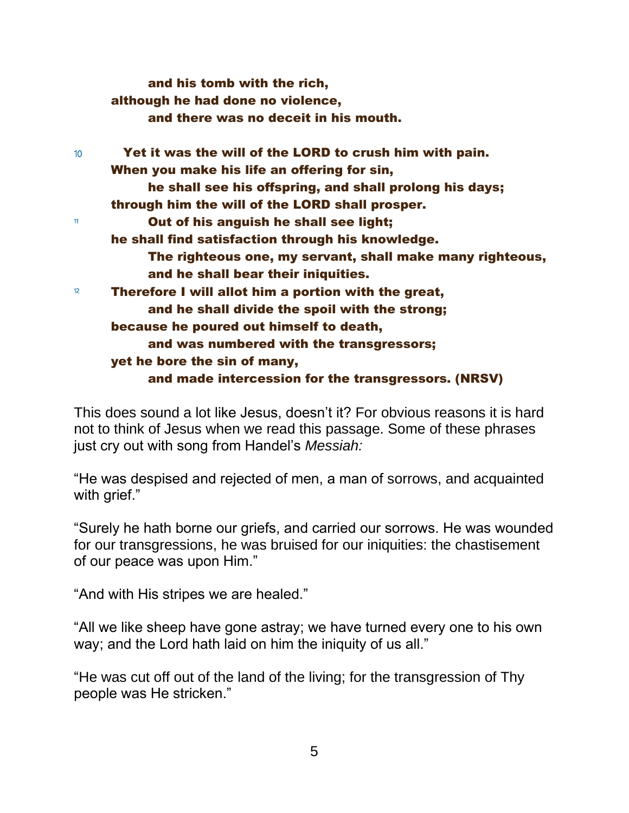|                  | and his tomb with the rich,                               |
|------------------|-----------------------------------------------------------|
|                  | although he had done no violence,                         |
|                  | and there was no deceit in his mouth.                     |
| 10 <sup>10</sup> | Yet it was the will of the LORD to crush him with pain.   |
|                  | When you make his life an offering for sin,               |
|                  | he shall see his offspring, and shall prolong his days;   |
|                  | through him the will of the LORD shall prosper.           |
| 11               | Out of his anguish he shall see light;                    |
|                  | he shall find satisfaction through his knowledge.         |
|                  | The righteous one, my servant, shall make many righteous, |
|                  | and he shall bear their iniquities.                       |
| 12               | Therefore I will allot him a portion with the great,      |
|                  | and he shall divide the spoil with the strong;            |
|                  | because he poured out himself to death,                   |
|                  | and was numbered with the transgressors;                  |
|                  | yet he bore the sin of many,                              |
|                  | and made intercession for the transgressors. (NRSV)       |

This does sound a lot like Jesus, doesn't it? For obvious reasons it is hard not to think of Jesus when we read this passage. Some of these phrases just cry out with song from Handel's *Messiah:*

"He was despised and rejected of men, a man of sorrows, and acquainted with grief."

"Surely he hath borne our griefs, and carried our sorrows. He was wounded for our transgressions, he was bruised for our iniquities: the chastisement of our peace was upon Him."

"And with His stripes we are healed."

"All we like sheep have gone astray; we have turned every one to his own way; and the Lord hath laid on him the iniquity of us all."

"He was cut off out of the land of the living; for the transgression of Thy people was He stricken."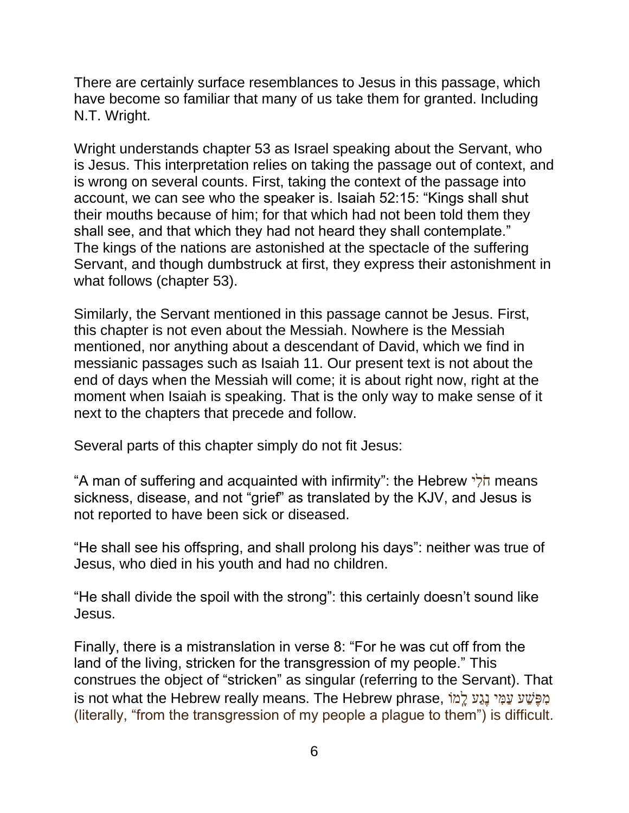There are certainly surface resemblances to Jesus in this passage, which have become so familiar that many of us take them for granted. Including N.T. Wright.

Wright understands chapter 53 as Israel speaking about the Servant, who is Jesus. This interpretation relies on taking the passage out of context, and is wrong on several counts. First, taking the context of the passage into account, we can see who the speaker is. Isaiah 52:15: "Kings shall shut their mouths because of him; for that which had not been told them they shall see, and that which they had not heard they shall contemplate." The kings of the nations are astonished at the spectacle of the suffering Servant, and though dumbstruck at first, they express their astonishment in what follows (chapter 53).

Similarly, the Servant mentioned in this passage cannot be Jesus. First, this chapter is not even about the Messiah. Nowhere is the Messiah mentioned, nor anything about a descendant of David, which we find in messianic passages such as Isaiah 11. Our present text is not about the end of days when the Messiah will come; it is about right now, right at the moment when Isaiah is speaking. That is the only way to make sense of it next to the chapters that precede and follow.

Several parts of this chapter simply do not fit Jesus:

"A man of suffering and acquainted with infirmity": the Hebrew יִלֹח means sickness, disease, and not "grief" as translated by the KJV, and Jesus is not reported to have been sick or diseased.

"He shall see his offspring, and shall prolong his days": neither was true of Jesus, who died in his youth and had no children.

"He shall divide the spoil with the strong": this certainly doesn't sound like Jesus.

Finally, there is a mistranslation in verse 8: "For he was cut off from the land of the living, stricken for the transgression of my people." This construes the object of "stricken" as singular (referring to the Servant). That מִפֶּשֵׁע עַמִּי נָגֵע לֵמֹו ,is not what the Hebrew really means. The Hebrew phrase (literally, "from the transgression of my people a plague to them") is difficult.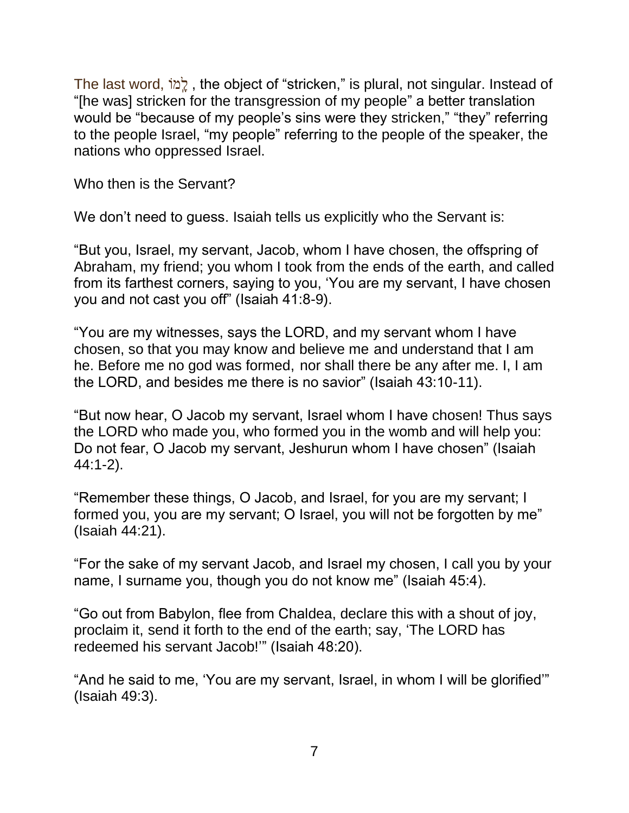The last word , וֹמָֽ ל , the object of "stricken," is plural, not singular. Instead of "[he was] stricken for the transgression of my people" a better translation would be "because of my people's sins were they stricken," "they" referring to the people Israel, "my people" referring to the people of the speaker, the nations who oppressed Israel.

Who then is the Servant?

We don't need to guess. Isaiah tells us explicitly who the Servant is:

"But you, Israel, my servant, Jacob, whom I have chosen, the offspring of Abraham, my friend; you whom I took from the ends of the earth, and called from its farthest corners, saying to you, 'You are my servant, I have chosen you and not cast you off" (Isaiah 41:8-9).

"You are my witnesses, says the LORD, and my servant whom I have chosen, so that you may know and believe me and understand that I am he. Before me no god was formed, nor shall there be any after me. I, I am the LORD, and besides me there is no savior" (Isaiah 43:10-11).

"But now hear, O Jacob my servant, Israel whom I have chosen! Thus says the LORD who made you, who formed you in the womb and will help you: Do not fear, O Jacob my servant, Jeshurun whom I have chosen" (Isaiah 44:1-2).

"Remember these things, O Jacob, and Israel, for you are my servant; I formed you, you are my servant; O Israel, you will not be forgotten by me" (Isaiah 44:21).

"For the sake of my servant Jacob, and Israel my chosen, I call you by your name, I surname you, though you do not know me" (Isaiah 45:4).

"Go out from Babylon, flee from Chaldea, declare this with a shout of joy, proclaim it, send it forth to the end of the earth; say, 'The LORD has redeemed his servant Jacob!'" (Isaiah 48:20).

"And he said to me, 'You are my servant, Israel, in whom I will be glorified'" (Isaiah 49:3).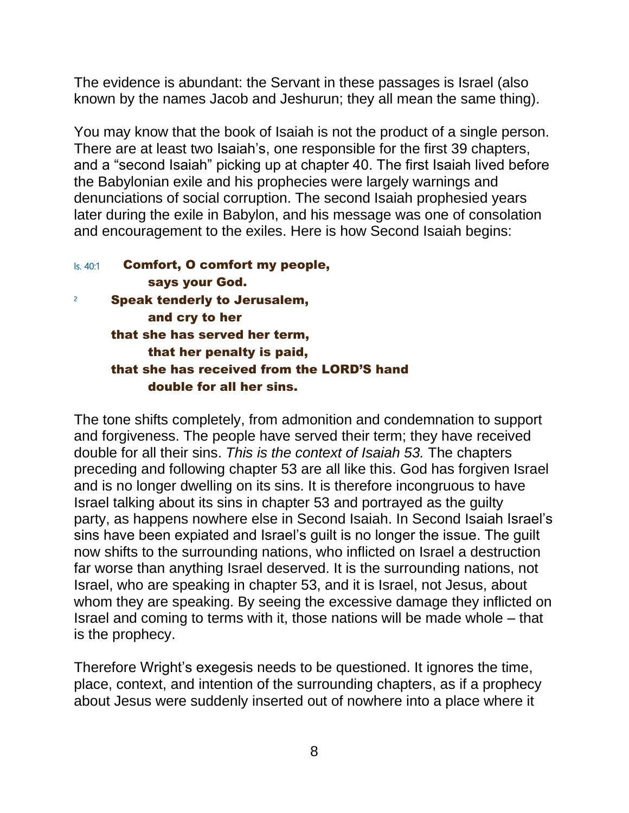The evidence is abundant: the Servant in these passages is Israel (also known by the names Jacob and Jeshurun; they all mean the same thing).

You may know that the book of Isaiah is not the product of a single person. There are at least two Isaiah's, one responsible for the first 39 chapters, and a "second Isaiah" picking up at chapter 40. The first Isaiah lived before the Babylonian exile and his prophecies were largely warnings and denunciations of social corruption. The second Isaiah prophesied years later during the exile in Babylon, and his message was one of consolation and encouragement to the exiles. Here is how Second Isaiah begins:

| ls. 40:1 | <b>Comfort, O comfort my people,</b>       |
|----------|--------------------------------------------|
|          | says your God.                             |
|          | <b>Speak tenderly to Jerusalem,</b>        |
|          | and cry to her                             |
|          | that she has served her term,              |
|          | that her penalty is paid,                  |
|          | that she has received from the LORD'S hand |
|          | double for all her sins.                   |
|          |                                            |

The tone shifts completely, from admonition and condemnation to support and forgiveness. The people have served their term; they have received double for all their sins. *This is the context of Isaiah 53.* The chapters preceding and following chapter 53 are all like this. God has forgiven Israel and is no longer dwelling on its sins. It is therefore incongruous to have Israel talking about its sins in chapter 53 and portrayed as the guilty party, as happens nowhere else in Second Isaiah. In Second Isaiah Israel's sins have been expiated and Israel's guilt is no longer the issue. The guilt now shifts to the surrounding nations, who inflicted on Israel a destruction far worse than anything Israel deserved. It is the surrounding nations, not Israel, who are speaking in chapter 53, and it is Israel, not Jesus, about whom they are speaking. By seeing the excessive damage they inflicted on Israel and coming to terms with it, those nations will be made whole – that is the prophecy.

Therefore Wright's exegesis needs to be questioned. It ignores the time, place, context, and intention of the surrounding chapters, as if a prophecy about Jesus were suddenly inserted out of nowhere into a place where it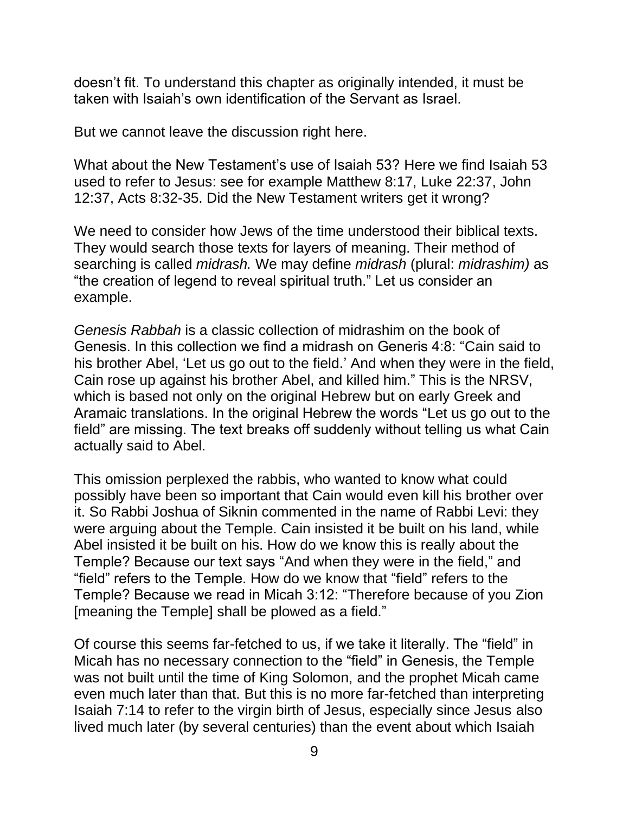doesn't fit. To understand this chapter as originally intended, it must be taken with Isaiah's own identification of the Servant as Israel.

But we cannot leave the discussion right here.

What about the New Testament's use of Isaiah 53? Here we find Isaiah 53 used to refer to Jesus: see for example Matthew 8:17, Luke 22:37, John 12:37, Acts 8:32-35. Did the New Testament writers get it wrong?

We need to consider how Jews of the time understood their biblical texts. They would search those texts for layers of meaning. Their method of searching is called *midrash.* We may define *midrash* (plural: *midrashim)* as "the creation of legend to reveal spiritual truth." Let us consider an example.

*Genesis Rabbah* is a classic collection of midrashim on the book of Genesis. In this collection we find a midrash on Generis 4:8: "Cain said to his brother Abel, 'Let us go out to the field.' And when they were in the field, Cain rose up against his brother Abel, and killed him." This is the NRSV, which is based not only on the original Hebrew but on early Greek and Aramaic translations. In the original Hebrew the words "Let us go out to the field" are missing. The text breaks off suddenly without telling us what Cain actually said to Abel.

This omission perplexed the rabbis, who wanted to know what could possibly have been so important that Cain would even kill his brother over it. So Rabbi Joshua of Siknin commented in the name of Rabbi Levi: they were arguing about the Temple. Cain insisted it be built on his land, while Abel insisted it be built on his. How do we know this is really about the Temple? Because our text says "And when they were in the field," and "field" refers to the Temple. How do we know that "field" refers to the Temple? Because we read in Micah 3:12: "Therefore because of you Zion [meaning the Temple] shall be plowed as a field."

Of course this seems far-fetched to us, if we take it literally. The "field" in Micah has no necessary connection to the "field" in Genesis, the Temple was not built until the time of King Solomon, and the prophet Micah came even much later than that. But this is no more far-fetched than interpreting Isaiah 7:14 to refer to the virgin birth of Jesus, especially since Jesus also lived much later (by several centuries) than the event about which Isaiah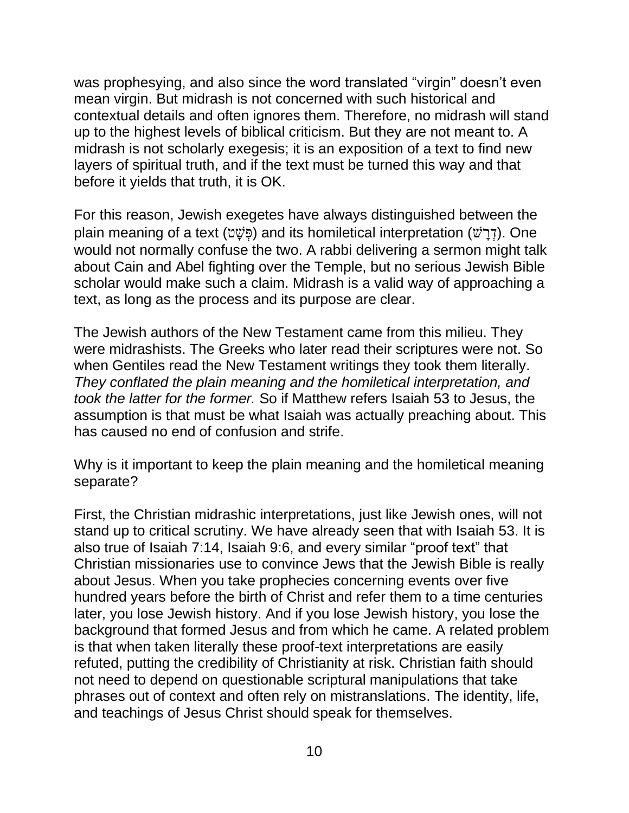was prophesying, and also since the word translated "virgin" doesn't even mean virgin. But midrash is not concerned with such historical and contextual details and often ignores them. Therefore, no midrash will stand up to the highest levels of biblical criticism. But they are not meant to. A midrash is not scholarly exegesis; it is an exposition of a text to find new layers of spiritual truth, and if the text must be turned this way and that before it yields that truth, it is OK.

For this reason, Jewish exegetes have always distinguished between the plain meaning of a text (פָּשָׁט) and its homiletical interpretation (דְּרַשׁׁ). One would not normally confuse the two. A rabbi delivering a sermon might talk about Cain and Abel fighting over the Temple, but no serious Jewish Bible scholar would make such a claim. Midrash is a valid way of approaching a text, as long as the process and its purpose are clear.

The Jewish authors of the New Testament came from this milieu. They were midrashists. The Greeks who later read their scriptures were not. So when Gentiles read the New Testament writings they took them literally. *They conflated the plain meaning and the homiletical interpretation, and took the latter for the former.* So if Matthew refers Isaiah 53 to Jesus, the assumption is that must be what Isaiah was actually preaching about. This has caused no end of confusion and strife.

Why is it important to keep the plain meaning and the homiletical meaning separate?

First, the Christian midrashic interpretations, just like Jewish ones, will not stand up to critical scrutiny. We have already seen that with Isaiah 53. It is also true of Isaiah 7:14, Isaiah 9:6, and every similar "proof text" that Christian missionaries use to convince Jews that the Jewish Bible is really about Jesus. When you take prophecies concerning events over five hundred years before the birth of Christ and refer them to a time centuries later, you lose Jewish history. And if you lose Jewish history, you lose the background that formed Jesus and from which he came. A related problem is that when taken literally these proof-text interpretations are easily refuted, putting the credibility of Christianity at risk. Christian faith should not need to depend on questionable scriptural manipulations that take phrases out of context and often rely on mistranslations. The identity, life, and teachings of Jesus Christ should speak for themselves.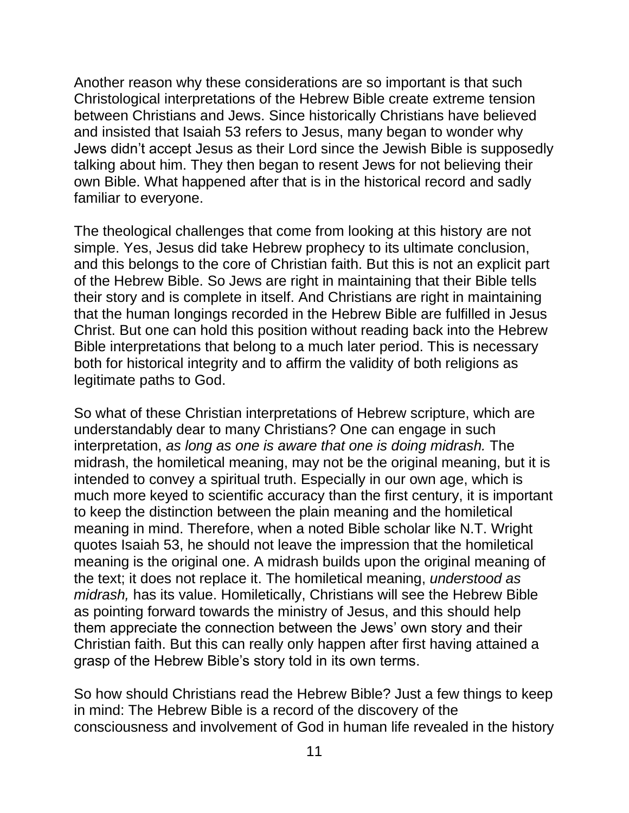Another reason why these considerations are so important is that such Christological interpretations of the Hebrew Bible create extreme tension between Christians and Jews. Since historically Christians have believed and insisted that Isaiah 53 refers to Jesus, many began to wonder why Jews didn't accept Jesus as their Lord since the Jewish Bible is supposedly talking about him. They then began to resent Jews for not believing their own Bible. What happened after that is in the historical record and sadly familiar to everyone.

The theological challenges that come from looking at this history are not simple. Yes, Jesus did take Hebrew prophecy to its ultimate conclusion, and this belongs to the core of Christian faith. But this is not an explicit part of the Hebrew Bible. So Jews are right in maintaining that their Bible tells their story and is complete in itself. And Christians are right in maintaining that the human longings recorded in the Hebrew Bible are fulfilled in Jesus Christ. But one can hold this position without reading back into the Hebrew Bible interpretations that belong to a much later period. This is necessary both for historical integrity and to affirm the validity of both religions as legitimate paths to God.

So what of these Christian interpretations of Hebrew scripture, which are understandably dear to many Christians? One can engage in such interpretation, *as long as one is aware that one is doing midrash.* The midrash, the homiletical meaning, may not be the original meaning, but it is intended to convey a spiritual truth. Especially in our own age, which is much more keyed to scientific accuracy than the first century, it is important to keep the distinction between the plain meaning and the homiletical meaning in mind. Therefore, when a noted Bible scholar like N.T. Wright quotes Isaiah 53, he should not leave the impression that the homiletical meaning is the original one. A midrash builds upon the original meaning of the text; it does not replace it. The homiletical meaning, *understood as midrash,* has its value. Homiletically, Christians will see the Hebrew Bible as pointing forward towards the ministry of Jesus, and this should help them appreciate the connection between the Jews' own story and their Christian faith. But this can really only happen after first having attained a grasp of the Hebrew Bible's story told in its own terms.

So how should Christians read the Hebrew Bible? Just a few things to keep in mind: The Hebrew Bible is a record of the discovery of the consciousness and involvement of God in human life revealed in the history